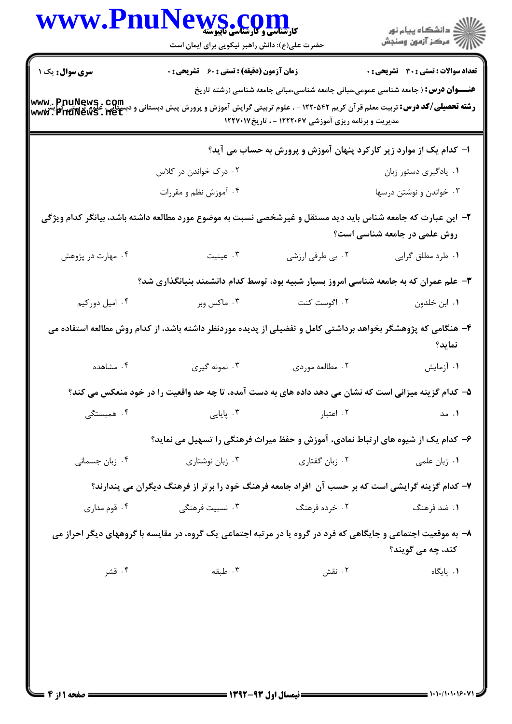| <b>WWW.Fnur</b>                    | کارشناسی و کارشناسی ناپیوسته<br>حضرت علی(ع): دانش راهبر نیکویی برای ایمان است                                 |                                                      | ِ<br>∭ دانشڪاه پيام نور<br>∭ مرڪز آزمون وسنڊش                                            |
|------------------------------------|---------------------------------------------------------------------------------------------------------------|------------------------------------------------------|------------------------------------------------------------------------------------------|
| <b>سری سوال :</b> یک ۱             | <b>زمان آزمون (دقیقه) : تستی : 60 ٪ تشریحی : 0</b>                                                            |                                                      | <b>تعداد سوالات : تستی : 30 ٪ تشریحی : 0</b>                                             |
| www.PnuNews.com<br>www.PnuNews.net | <b>رشته تحصیلی/کد درس:</b> تربیت معلم قرآن کریم ۱۲۲۰۵۴۲ - ، علوم تربیتی گرایش آموزش و پرورش پیش دبستانی       | مدیریت و برنامه ریزی آموزشی ۱۲۲۲۰۶۷ - ، تاریخ۱۲۲۷۰۱۷ | <b>عنـــوان درس:</b> ( جامعه شناسی عمومی،مبانی جامعه شناسی،مبانی جامعه شناسی (رشته تاریخ |
|                                    |                                                                                                               |                                                      | ا– کدام یک از موارد زیر کارکرد پنهان آموزش و پرورش به حساب می آید؟                       |
|                                    | ۰۲ درک خواندن در کلاس                                                                                         |                                                      | ۰۱ يادگيري دستور زبان                                                                    |
|                                    | ۰۴ آموزش نظم و مقررات                                                                                         |                                                      | ۰۳ خواندن و نوشتن درسها                                                                  |
|                                    | ۲– این عبارت که جامعه شناس باید دید مستقل و غیرشخصی نسبت به موضوع مورد مطالعه داشته باشد، بیانگر کدام ویژگی   |                                                      | روش علمی در جامعه شناسی است؟                                                             |
| ۰۴ مهارت در پژوهش                  | با عينيت $\cdot$                                                                                              | ۰۲ بي طرفي ارزشي                                     | ۰۱ طرد مطلق گرایی                                                                        |
|                                    | ۳- علم عمران که به جامعه شناسی امروز بسیار شبیه بود، توسط کدام دانشمند بنیانگذاری شد؟                         |                                                      |                                                                                          |
| ۰۴ امیل دورکیم                     |                                                                                                               | ۰۲ اگوست کنت مستسم ۲۰۰۳ ماکس وبر                     | ۰۱ ابن خلدون                                                                             |
|                                    | ۴– هنگامی که پژوهشگر بخواهد برداشتی کامل و تفضیلی از پدیده موردنظر داشته باشد، از کدام روش مطالعه استفاده می  |                                                      | نمايد؟                                                                                   |
| ۰۴ مشاهده                          | ۰۳ نمونه گیری                                                                                                 | ۰۲ مطالعه موردي                                      | ۰۱ آزمایش                                                                                |
|                                    | ۵– کدام گزینه میزانی است که نشان می دهد داده های به دست آمده، تا چه حد واقعیت را در خود منعکس می کند؟         |                                                      |                                                                                          |
| ۰۴ همبستگی                         | ۰۳ پایایی                                                                                                     | ۰۲ اعتبار                                            | ۰۱ مد                                                                                    |
|                                    | ۶– کدام یک از شیوه های ارتباط نمادی، آموزش و حفظ میراث فرهنگی را تسهیل می نماید؟                              |                                                      |                                                                                          |
| ۰۴ زبان جسمانی                     | ۰۳ زبان نوشتاری                                                                                               | ۰۲ زبان گفتاری                                       | ۰۱ زبان علمی                                                                             |
|                                    | ۷– کدام گزینه گرایشی است که بر حسب آن افراد جامعه فرهنگ خود را برتر از فرهنگ دیگران می پندارند؟               |                                                      |                                                                                          |
| ۰۴ قوم مداری                       | ۰۳ نسبیت فرهنگ <sub>ی</sub>                                                                                   | ۰۲ خرده فرهنگ                                        | ۰۱ ضد فرهنگ                                                                              |
|                                    | ۸– به موقعیت اجتماعی و جایگاهی که فرد در گروه یا در مرتبه اجتماعی یک گروه، در مقایسه با گروههای دیگر احراز می |                                                      | کند، چه می گویند؟                                                                        |
| ۰۴ قشر                             | ۰۳ طبقه                                                                                                       | ۰۲ نقش                                               | ۰۱. پایگاه                                                                               |
|                                    |                                                                                                               |                                                      |                                                                                          |

 $\blacksquare$ 

 $: 1.1.11.18$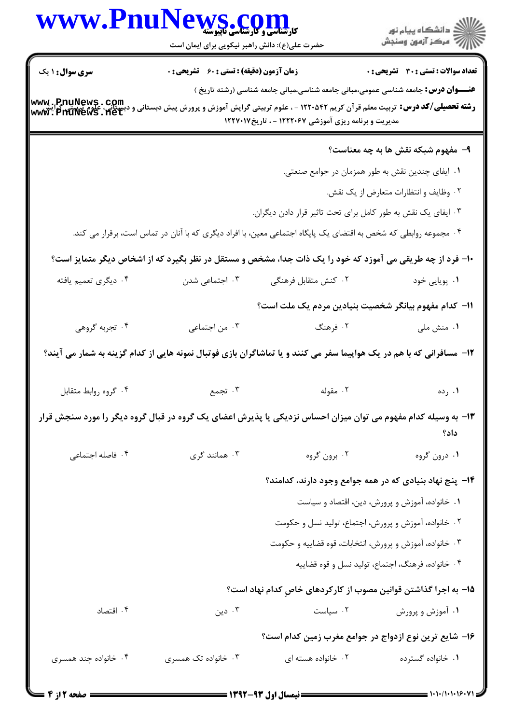| <b>WWW.Fnu</b>         | S.COI<br><b>کارشناسی و کارشناسی تاپلوسته</b><br>حضرت علی(ع): دانش راهبر نیکویی برای ایمان است                                                                   |                                                              | ڪ دانشڪاه پيام نور<br>ر∕ = مرڪز آزمون وسنڊش                                                                           |  |
|------------------------|-----------------------------------------------------------------------------------------------------------------------------------------------------------------|--------------------------------------------------------------|-----------------------------------------------------------------------------------------------------------------------|--|
| <b>سری سوال : ۱ یک</b> | <b>زمان آزمون (دقیقه) : تستی : 60 ٪ تشریحی : 0</b>                                                                                                              |                                                              | <b>تعداد سوالات : تستي : 30 ٪ تشريحي : 0</b>                                                                          |  |
|                        |                                                                                                                                                                 |                                                              | <b>عنـــوان درس:</b> جامعه شناسی عمومی،مبانی جامعه شناسی،مبانی جامعه شناسی (رشته تاریخ )                              |  |
| www.pnuNews.com        | <b>رشته تحصیلی/کد درس:</b> تربیت معلم قرآن کریم ۱۲۲۰۵۴۲ - ، علوم تربیتی گرایش آموزش و پرورش پیش دبستانی<br>مدیریت و برنامه ریزی آموزشی ۱۲۲۲۰۶۷ - ، تاریخ۱۲۲۷۰۱۷ |                                                              |                                                                                                                       |  |
|                        |                                                                                                                                                                 |                                                              | ۹- مفهوم شبکه نقش ها به چه معناست؟                                                                                    |  |
|                        |                                                                                                                                                                 |                                                              | ۰۱ ایفای چندین نقش به طور همزمان در جوامع صنعتی.                                                                      |  |
|                        |                                                                                                                                                                 |                                                              | ٠٢ وظايف و انتظارات متعارض از يک نقش.                                                                                 |  |
|                        |                                                                                                                                                                 | ۰۳ ایفای یک نقش به طور کامل برای تحت تاثیر قرار دادن دیگران. |                                                                                                                       |  |
|                        | ۰۴ مجموعه روابطی که شخص به اقتضای یک پایگاه اجتماعی معین، با افراد دیگری که با آنان در تماس است، برقرار می کند.                                                 |                                                              |                                                                                                                       |  |
|                        |                                                                                                                                                                 |                                                              | +۱- فرد از چه طریقی می آموزد که خود را یک ذات جدا، مشخص و مستقل در نظر بگیرد که از اشخاص دیگر متمایز است؟             |  |
| ۰۴ دیگری تعمیم یافته   | ۰۳ اجتماعی شدن                                                                                                                                                  | ۰۲ کنش متقابل فرهنگی                                         | ۰۱ پویایی خود                                                                                                         |  |
|                        |                                                                                                                                                                 |                                                              | 11– كدام مفهوم بيانگر شخصيت بنيادين مردم يک ملت است؟                                                                  |  |
| ۰۴ تجربه گروهی         | ۰۳ من اجتماعی                                                                                                                                                   | ۰۲ فرهنگ                                                     | ۰۱ منش ملی                                                                                                            |  |
|                        |                                                                                                                                                                 |                                                              | ۱۲- مسافرانی که با هم در یک هواپیما سفر می کنند و یا تماشاگران بازی فوتبال نمونه هایی از کدام گزینه به شمار می آیند؟  |  |
| ۰۴ گروه روابط متقابل   | ۰۳ تجمع                                                                                                                                                         | ۰۲ مقوله                                                     | ۰۱ رده                                                                                                                |  |
|                        |                                                                                                                                                                 |                                                              | ۱۳- به وسیله کدام مفهوم می توان میزان احساس نزدیکی یا پذیرش اعضای یک گروه در قبال گروه دیگر را مورد سنجش قرار<br>داد؟ |  |
| ۰۴ فاصله اجتماعی       | ۰۳ همانند گری                                                                                                                                                   | ۰۲ برون گروه                                                 | ١. درون گروه                                                                                                          |  |
|                        |                                                                                                                                                                 |                                                              | ۱۴- پنج نهاد بنیادی که در همه جوامع وجود دارند، کدامند؟                                                               |  |
|                        |                                                                                                                                                                 |                                                              | ۰۱ خانواده، آموزش و پرورش، دین، اقتصاد و سیاست                                                                        |  |
|                        |                                                                                                                                                                 |                                                              | ۰۲ خانواده، آموزش و پرورش، اجتماع، تولید نسل و حکومت                                                                  |  |
|                        | ۰۳ خانواده، آموزش و پرورش، انتخابات، قوه قضاييه و حكومت                                                                                                         |                                                              |                                                                                                                       |  |
|                        |                                                                                                                                                                 |                                                              | ۰۴ خانواده، فرهنگ، اجتماع، تولید نسل و قوه قضاییه                                                                     |  |
|                        |                                                                                                                                                                 |                                                              | <b>۱۵</b> – به اجرا گذاشتن قوانین مصوب از کارکردهای خاصِ کدام نهاد است؟                                               |  |
| ۰۴ اقتصاد              | ۰۳ دین                                                                                                                                                          | ۰۲ سیاست                                                     | ۰۱ آموزش و پرورش                                                                                                      |  |
|                        |                                                                                                                                                                 |                                                              | ۱۶– شایع ترین نوع ازدواج در جوامع مغرب زمین کدام است؟                                                                 |  |
| ۰۴ خانواده چند همسری   | ۰۳ خانواده تک همسری                                                                                                                                             | ۰۲ خانواده هسته ای                                           | ۰۱ خانواده گسترده                                                                                                     |  |
| <b>۔ صفحه 2 از 4</b>   |                                                                                                                                                                 |                                                              | $1.1.11.19.91 \le$                                                                                                    |  |

N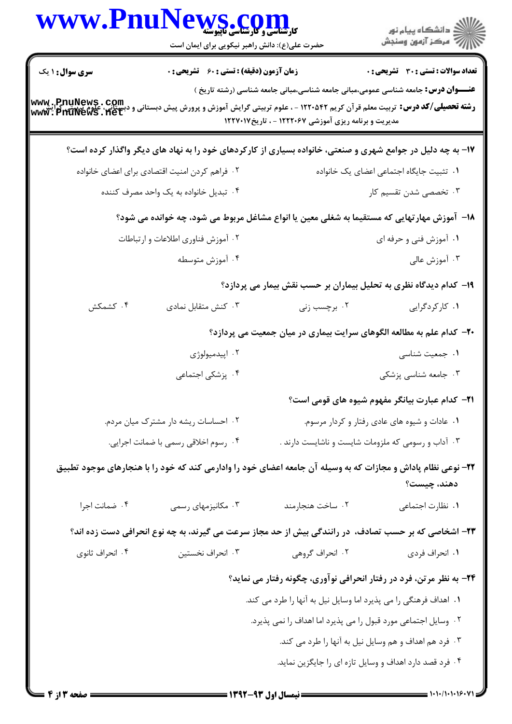| <b>WWW.Phul</b>                    | کارشناسی و کارشناسی تاپیوسته<br>حضرت علی(ع): دانش راهبر نیکویی برای ایمان است |                                                                                                                                                                                                                                                             | ڪ دانشڪاه پيام نور<br>ر∕ مرڪز آزمون وسنڊش                                                                                                  |  |
|------------------------------------|-------------------------------------------------------------------------------|-------------------------------------------------------------------------------------------------------------------------------------------------------------------------------------------------------------------------------------------------------------|--------------------------------------------------------------------------------------------------------------------------------------------|--|
| <b>سری سوال : ۱ یک</b>             | <b>زمان آزمون (دقیقه) : تستی : 60 ٪ تشریحی : 0</b>                            |                                                                                                                                                                                                                                                             | تعداد سوالات : تستي : 30 ٪ تشريحي : 0                                                                                                      |  |
| www.pnuNews.com<br>www.pnuNews.net |                                                                               | <b>عنـــوان درس:</b> جامعه شناسی عمومی،مبانی جامعه شناسی،مبانی جامعه شناسی (رشته تاریخ )<br><b>رشته تحصیلی/کد درس:</b> تربیت معلم قرآن کریم ۱۲۲۰۵۴۲ - ، علوم تربیتی گرایش آموزش و پرورش پیش دبستانی<br>مدیریت و برنامه ریزی آموزشی ۱۲۲۲۰۶۷ - ، تاریخ۱۲۲۷۰۱۷ |                                                                                                                                            |  |
|                                    |                                                                               | ۱۷- به چه دلیل در جوامع شهری و صنعتی، خانواده بسیاری از کارکردهای خود را به نهاد های دیگر واگذار کرده است؟                                                                                                                                                  |                                                                                                                                            |  |
|                                    | ۰۲ فراهم کردن امنیت اقتصادی برای اعضای خانواده                                |                                                                                                                                                                                                                                                             | ٠١ تثبيت جايگاه اجتماعي اعضاي يک خانواده                                                                                                   |  |
|                                    | ۰۴ تبدیل خانواده به یک واحد مصرف کننده                                        |                                                                                                                                                                                                                                                             | ۰۳ تخصصی شدن تقسیم کار                                                                                                                     |  |
|                                    |                                                                               | ۱۸– آموزش مهارتهایی که مستقیما به شغلی معین یا انواع مشاغل مربوط می شود، چه خوانده می شود؟                                                                                                                                                                  |                                                                                                                                            |  |
|                                    | ۰۲ آموزش فناوري اطلاعات و ارتباطات                                            |                                                                                                                                                                                                                                                             | ۰۱ آموزش فنی و حرفه ای                                                                                                                     |  |
|                                    | ۰۴ آموزش متوسطه                                                               |                                                                                                                                                                                                                                                             | ۰۳ آموزش عالی                                                                                                                              |  |
|                                    |                                                                               | ۱۹– کدام دیدگاه نظری به تحلیل بیماران بر حسب نقش بیمار می پردازد؟                                                                                                                                                                                           |                                                                                                                                            |  |
| ۰۴ کشمکش                           | ۰۳ کنش متقابل نمادی                                                           | ۰۲ برچسب زنی                                                                                                                                                                                                                                                | ۰۱ کارکردگرایی                                                                                                                             |  |
|                                    |                                                                               | ۲۰- کدام علم به مطالعه الگوهای سرایت بیماری در میان جمعیت می پردازد؟                                                                                                                                                                                        |                                                                                                                                            |  |
|                                    | ۰۲ اپیدمیولوژی                                                                |                                                                                                                                                                                                                                                             | ٠١ جمعيت شناسى                                                                                                                             |  |
|                                    | ۰۴ پزشکی اجتماعی                                                              |                                                                                                                                                                                                                                                             | ۰۳ جامعه شناسی پزشکی                                                                                                                       |  |
|                                    |                                                                               |                                                                                                                                                                                                                                                             | <b>۲۱</b> – کدام عبارت بیانگر مفهوم شیوه های قومی است؟                                                                                     |  |
|                                    | ۰۲ احساسات ریشه دار مشترک میان مردم.                                          |                                                                                                                                                                                                                                                             | ۰۱ عادات و شیوه های عادی رفتار و کردار مرسوم.                                                                                              |  |
|                                    | ۰۴ رسوم اخلاقی رسمی با ضمانت اجرایی.                                          |                                                                                                                                                                                                                                                             | ۰۳ آداب و رسومی که ملزومات شایست و ناشایست دارند .                                                                                         |  |
|                                    |                                                                               | ۲۲- نوعی نظام پاداش و مجازات که به وسیله آن جامعه اعضای خود را وادارمی کند که خود را با هنجارهای موجود تطبیق                                                                                                                                                | دهند، چیست؟                                                                                                                                |  |
| ۰۴ ضمانت اجرا                      | ۰۳ مکانیزمهای رسمی                                                            | ٠٢ ساخت هنجارمند                                                                                                                                                                                                                                            | ٠١. نظارت اجتماعي                                                                                                                          |  |
|                                    |                                                                               | ۲۳- اشخاصی که بر حسب تصادف، در رانندگی بیش از حد مجاز سرعت می گیرند، به چه نوع انحرافی دست زده اند؟                                                                                                                                                         |                                                                                                                                            |  |
| ۰۴ انحراف ثانوي                    | ۰۳ انحراف نخستین                                                              | ۰۲ انحراف گروهی                                                                                                                                                                                                                                             | ۰۱ انحراف فردی                                                                                                                             |  |
|                                    |                                                                               | ۲۴- به نظر مرتن، فرد در رفتار انحرافی نوآوری، چگونه رفتار می نماید؟                                                                                                                                                                                         |                                                                                                                                            |  |
|                                    |                                                                               | ٠١ اهداف فرهنگي را مي پذيرد اما وسايل نيل به آنها را طرد مي كند.                                                                                                                                                                                            |                                                                                                                                            |  |
|                                    |                                                                               | ۰۲ وسایل اجتماعی مورد قبول را می پذیرد اما اهداف را نمی پذیرد.                                                                                                                                                                                              |                                                                                                                                            |  |
|                                    |                                                                               | ۰۳ فرد هم اهداف و هم وسایل نیل به آنها را طرد می کند.                                                                                                                                                                                                       |                                                                                                                                            |  |
|                                    |                                                                               | ۰۴ فرد قصد دارد اهداف و وسایل تازه ای را جایگزین نماید.                                                                                                                                                                                                     |                                                                                                                                            |  |
| = صفحه 2 از 4 <b>=</b>             |                                                                               | ـــــــــــــ نیمسال اول ۹۳-۱۳۹۲ ــــــــــ                                                                                                                                                                                                                 | $=$ $\frac{1}{11}$ $\frac{1}{11}$ $\frac{1}{11}$ $\frac{1}{11}$ $\frac{1}{11}$ $\frac{1}{11}$ $\frac{1}{11}$ $\frac{1}{11}$ $\frac{1}{11}$ |  |